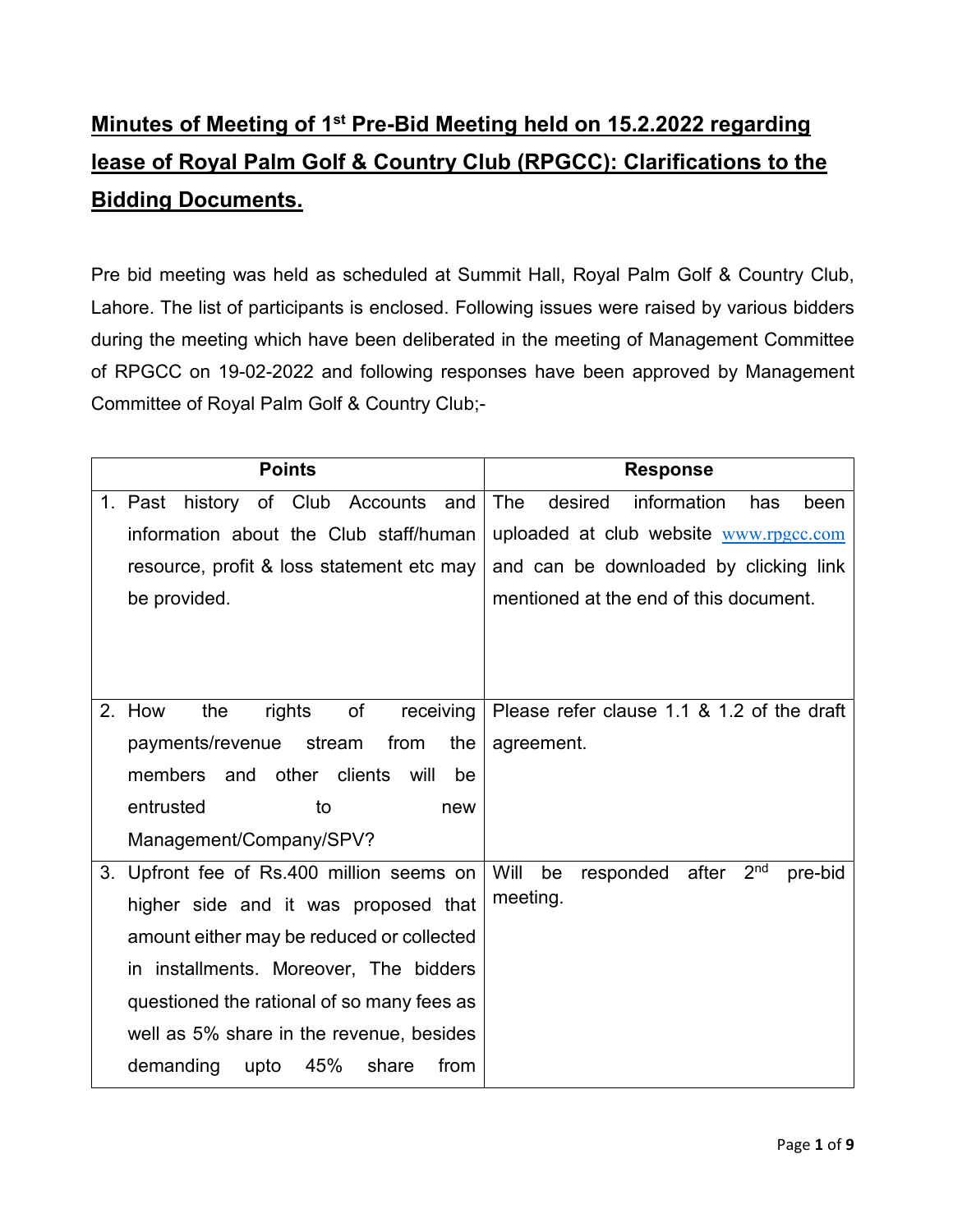# **Minutes of Meeting of 1st Pre-Bid Meeting held on 15.2.2022 regarding lease of Royal Palm Golf & Country Club (RPGCC): Clarifications to the Bidding Documents.**

Pre bid meeting was held as scheduled at Summit Hall, Royal Palm Golf & Country Club, Lahore. The list of participants is enclosed. Following issues were raised by various bidders during the meeting which have been deliberated in the meeting of Management Committee of RPGCC on 19-02-2022 and following responses have been approved by Management Committee of Royal Palm Golf & Country Club;-

|    | <b>Points</b>                              | <b>Response</b>                                                |
|----|--------------------------------------------|----------------------------------------------------------------|
|    | history of Club Accounts<br>1. Past<br>and | information<br>The<br>desired<br>has<br>been                   |
|    | information about the Club staff/human     | uploaded at club website www.rpgcc.com                         |
|    | resource, profit & loss statement etc may  | and can be downloaded by clicking link                         |
|    | be provided.                               | mentioned at the end of this document.                         |
|    |                                            |                                                                |
|    |                                            |                                                                |
|    |                                            |                                                                |
|    | of<br>2. How<br>the<br>rights<br>receiving | Please refer clause 1.1 & 1.2 of the draft                     |
|    | payments/revenue<br>stream<br>from<br>the  | agreement.                                                     |
|    | other clients will<br>members and<br>be    |                                                                |
|    | entrusted<br>to<br>new                     |                                                                |
|    | Management/Company/SPV?                    |                                                                |
| 3. | Upfront fee of Rs.400 million seems on     | 2 <sup>nd</sup><br>Will<br>be<br>responded<br>after<br>pre-bid |
|    | higher side and it was proposed that       | meeting.                                                       |
|    | amount either may be reduced or collected  |                                                                |
|    | in installments. Moreover, The bidders     |                                                                |
|    | questioned the rational of so many fees as |                                                                |
|    | well as 5% share in the revenue, besides   |                                                                |
|    | demanding<br>45%<br>upto<br>share<br>from  |                                                                |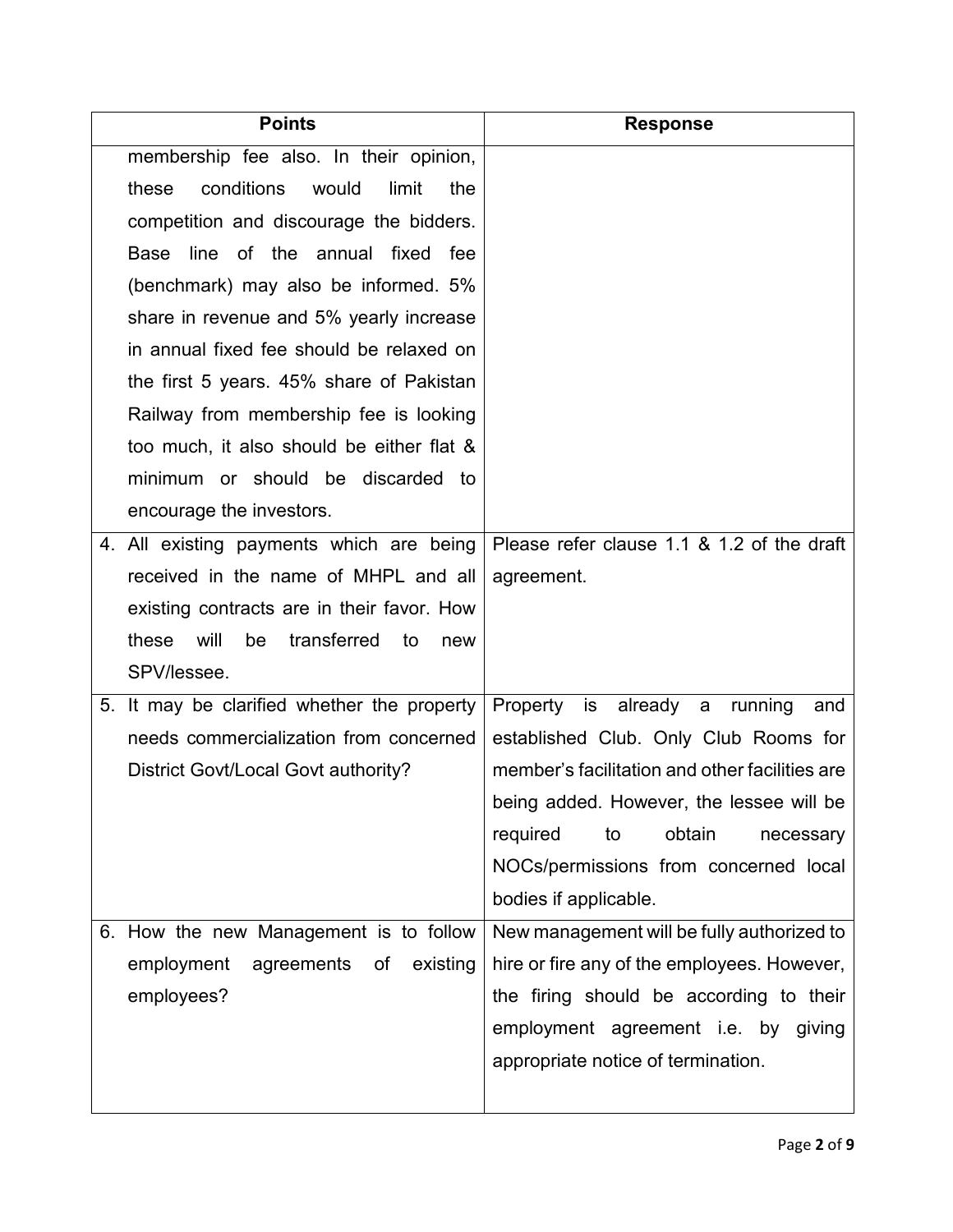| <b>Points</b>                                   | <b>Response</b>                                |
|-------------------------------------------------|------------------------------------------------|
| membership fee also. In their opinion,          |                                                |
| conditions<br>these<br>would<br>limit<br>the    |                                                |
| competition and discourage the bidders.         |                                                |
| Base line of the annual fixed fee               |                                                |
| (benchmark) may also be informed. 5%            |                                                |
| share in revenue and 5% yearly increase         |                                                |
| in annual fixed fee should be relaxed on        |                                                |
| the first 5 years. 45% share of Pakistan        |                                                |
| Railway from membership fee is looking          |                                                |
| too much, it also should be either flat &       |                                                |
| minimum or should be discarded to               |                                                |
| encourage the investors.                        |                                                |
| 4. All existing payments which are being        | Please refer clause 1.1 & 1.2 of the draft     |
| received in the name of MHPL and all            | agreement.                                     |
| existing contracts are in their favor. How      |                                                |
| these<br>will<br>be<br>transferred<br>to<br>new |                                                |
| SPV/lessee.                                     |                                                |
| 5. It may be clarified whether the property     | Property is already a running<br>and           |
| needs commercialization from concerned          | established Club. Only Club Rooms for          |
| District Govt/Local Govt authority?             | member's facilitation and other facilities are |
|                                                 | being added. However, the lessee will be       |
|                                                 | required<br>to<br>obtain<br>necessary          |
|                                                 | NOCs/permissions from concerned local          |
|                                                 | bodies if applicable.                          |
| 6. How the new Management is to follow          | New management will be fully authorized to     |
| employment<br>agreements of<br>existing         | hire or fire any of the employees. However,    |
| employees?                                      | the firing should be according to their        |
|                                                 | employment agreement i.e. by giving            |
|                                                 | appropriate notice of termination.             |
|                                                 |                                                |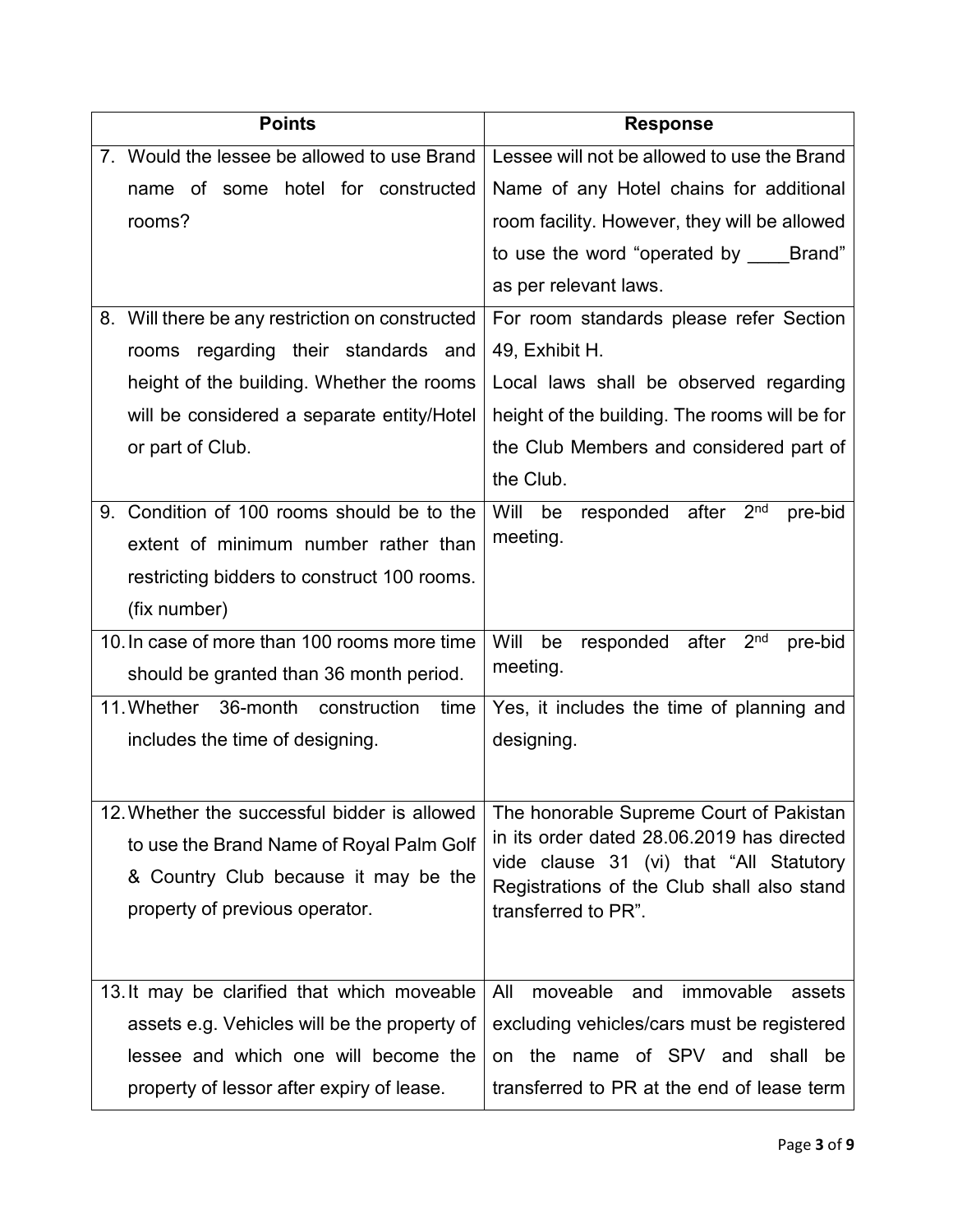| <b>Points</b>                                   | <b>Response</b>                                                                       |
|-------------------------------------------------|---------------------------------------------------------------------------------------|
| 7. Would the lessee be allowed to use Brand     | Lessee will not be allowed to use the Brand                                           |
| name of some hotel for constructed              | Name of any Hotel chains for additional                                               |
| rooms?                                          | room facility. However, they will be allowed                                          |
|                                                 | to use the word "operated by _____ Brand"                                             |
|                                                 | as per relevant laws.                                                                 |
| 8. Will there be any restriction on constructed | For room standards please refer Section                                               |
| rooms regarding their standards and             | 49, Exhibit H.                                                                        |
| height of the building. Whether the rooms       | Local laws shall be observed regarding                                                |
| will be considered a separate entity/Hotel      | height of the building. The rooms will be for                                         |
| or part of Club.                                | the Club Members and considered part of                                               |
|                                                 | the Club.                                                                             |
| 9. Condition of 100 rooms should be to the      | Will<br>2 <sup>nd</sup><br>be<br>responded after<br>pre-bid                           |
| extent of minimum number rather than            | meeting.                                                                              |
| restricting bidders to construct 100 rooms.     |                                                                                       |
| (fix number)                                    |                                                                                       |
| 10. In case of more than 100 rooms more time    | 2 <sup>nd</sup><br>Will<br>be<br>responded<br>after<br>pre-bid                        |
| should be granted than 36 month period.         | meeting.                                                                              |
| 11. Whether 36-month<br>construction<br>time    | Yes, it includes the time of planning and                                             |
| includes the time of designing.                 | designing.                                                                            |
|                                                 |                                                                                       |
| 12. Whether the successful bidder is allowed    | The honorable Supreme Court of Pakistan                                               |
| to use the Brand Name of Royal Palm Golf        | in its order dated 28.06.2019 has directed                                            |
| & Country Club because it may be the            | vide clause 31 (vi) that "All Statutory<br>Registrations of the Club shall also stand |
| property of previous operator.                  | transferred to PR".                                                                   |
|                                                 |                                                                                       |
|                                                 | moveable                                                                              |
| 13. It may be clarified that which moveable     | All<br>immovable<br>and<br>assets                                                     |
| assets e.g. Vehicles will be the property of    | excluding vehicles/cars must be registered                                            |
| lessee and which one will become the            | on the name of SPV and shall be                                                       |
| property of lessor after expiry of lease.       | transferred to PR at the end of lease term                                            |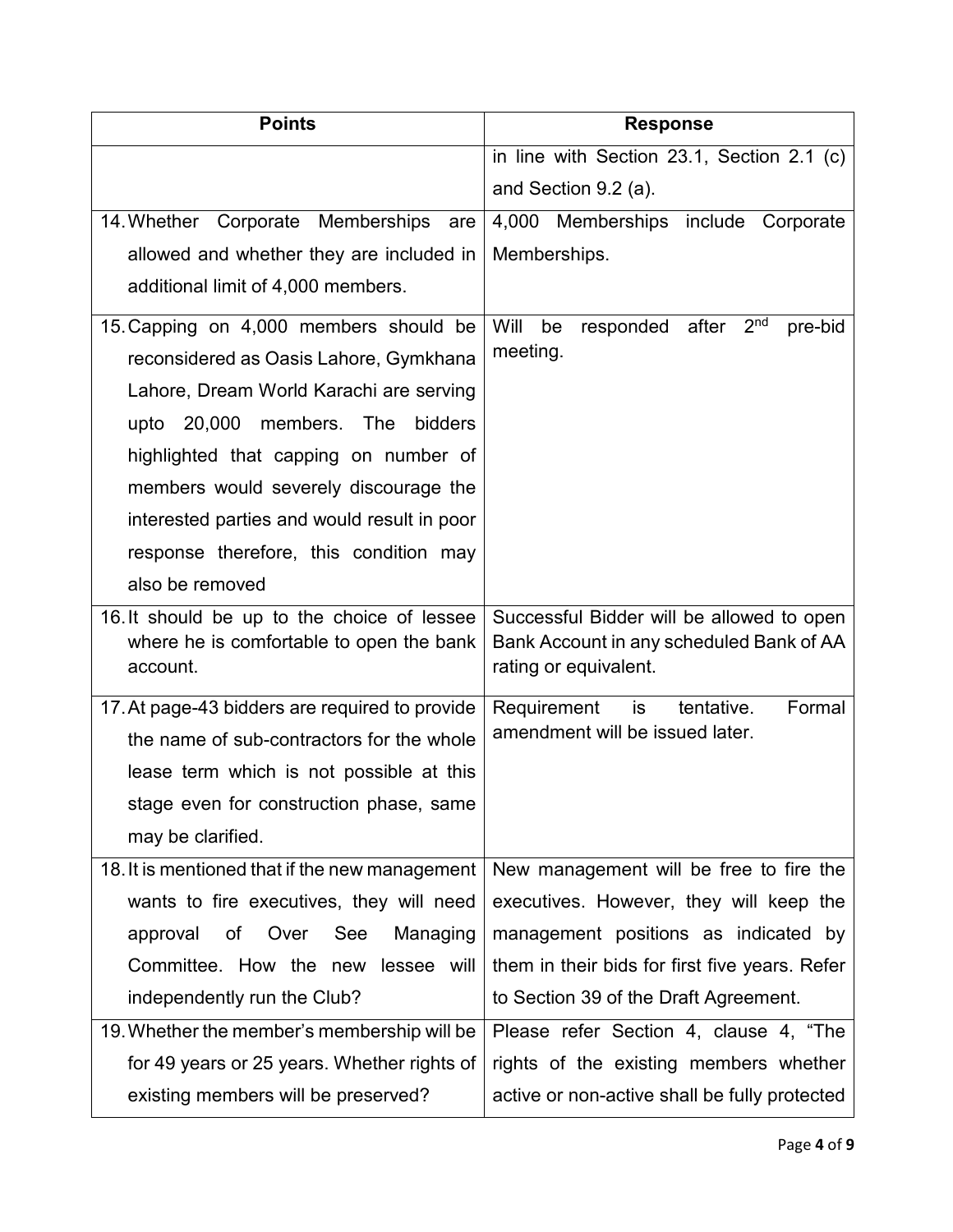| <b>Points</b>                                        | <b>Response</b>                                                              |
|------------------------------------------------------|------------------------------------------------------------------------------|
|                                                      | in line with Section 23.1, Section 2.1 (c)                                   |
|                                                      | and Section 9.2 (a).                                                         |
| 14. Whether Corporate Memberships<br>are             | 4,000 Memberships include Corporate                                          |
| allowed and whether they are included in             | Memberships.                                                                 |
| additional limit of 4,000 members.                   |                                                                              |
| 15. Capping on 4,000 members should be               | Will<br>responded after<br>2 <sup>nd</sup><br>be<br>pre-bid                  |
| reconsidered as Oasis Lahore, Gymkhana               | meeting.                                                                     |
| Lahore, Dream World Karachi are serving              |                                                                              |
| upto 20,000<br>members. The<br>bidders               |                                                                              |
| highlighted that capping on number of                |                                                                              |
| members would severely discourage the                |                                                                              |
| interested parties and would result in poor          |                                                                              |
| response therefore, this condition may               |                                                                              |
| also be removed                                      |                                                                              |
| 16. It should be up to the choice of lessee          | Successful Bidder will be allowed to open                                    |
| where he is comfortable to open the bank<br>account. | Bank Account in any scheduled Bank of AA<br>rating or equivalent.            |
|                                                      |                                                                              |
| 17. At page-43 bidders are required to provide       | Formal<br>Requirement<br>is<br>tentative.<br>amendment will be issued later. |
| the name of sub-contractors for the whole            |                                                                              |
| lease term which is not possible at this             |                                                                              |
| stage even for construction phase, same              |                                                                              |
| may be clarified.                                    |                                                                              |
| 18. It is mentioned that if the new management       | New management will be free to fire the                                      |
| wants to fire executives, they will need             | executives. However, they will keep the                                      |
| of Over See<br>approval<br>Managing                  | management positions as indicated by                                         |
| Committee. How the new lessee will                   | them in their bids for first five years. Refer                               |
| independently run the Club?                          | to Section 39 of the Draft Agreement.                                        |
| 19. Whether the member's membership will be          | Please refer Section 4, clause 4, "The                                       |
| for 49 years or 25 years. Whether rights of          | rights of the existing members whether                                       |
| existing members will be preserved?                  | active or non-active shall be fully protected                                |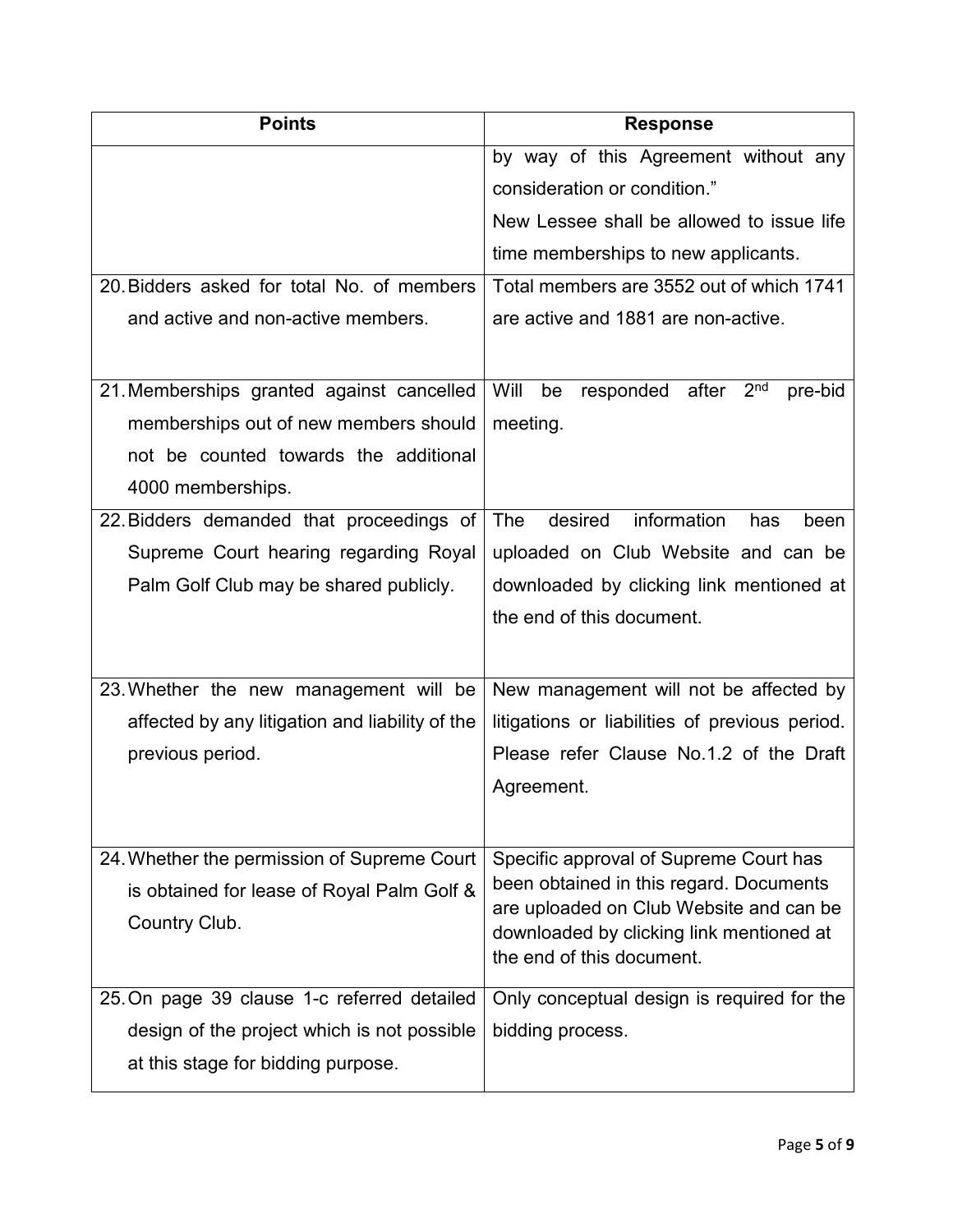| <b>Points</b>                                   | <b>Response</b>                                                                     |
|-------------------------------------------------|-------------------------------------------------------------------------------------|
|                                                 | by way of this Agreement without any                                                |
|                                                 | consideration or condition."                                                        |
|                                                 | New Lessee shall be allowed to issue life                                           |
|                                                 | time memberships to new applicants.                                                 |
| 20. Bidders asked for total No. of members      | Total members are 3552 out of which 1741                                            |
| and active and non-active members.              | are active and 1881 are non-active.                                                 |
|                                                 |                                                                                     |
| 21. Memberships granted against cancelled       | Will<br>2 <sub>nd</sub><br>be<br>responded after<br>pre-bid                         |
| memberships out of new members should           | meeting.                                                                            |
| not be counted towards the additional           |                                                                                     |
| 4000 memberships.                               |                                                                                     |
| 22. Bidders demanded that proceedings of        | information<br>The<br>desired<br>has<br>been                                        |
| Supreme Court hearing regarding Royal           | uploaded on Club Website and can be                                                 |
| Palm Golf Club may be shared publicly.          | downloaded by clicking link mentioned at                                            |
|                                                 | the end of this document.                                                           |
|                                                 |                                                                                     |
| 23. Whether the new management will be          | New management will not be affected by                                              |
| affected by any litigation and liability of the | litigations or liabilities of previous period.                                      |
| previous period.                                | Please refer Clause No.1.2 of the Draft                                             |
|                                                 | Agreement.                                                                          |
|                                                 |                                                                                     |
| 24. Whether the permission of Supreme Court     | Specific approval of Supreme Court has                                              |
| is obtained for lease of Royal Palm Golf &      | been obtained in this regard. Documents                                             |
| Country Club.                                   | are uploaded on Club Website and can be<br>downloaded by clicking link mentioned at |
|                                                 | the end of this document.                                                           |
| 25. On page 39 clause 1-c referred detailed     | Only conceptual design is required for the                                          |
|                                                 | bidding process.                                                                    |
| design of the project which is not possible     |                                                                                     |
| at this stage for bidding purpose.              |                                                                                     |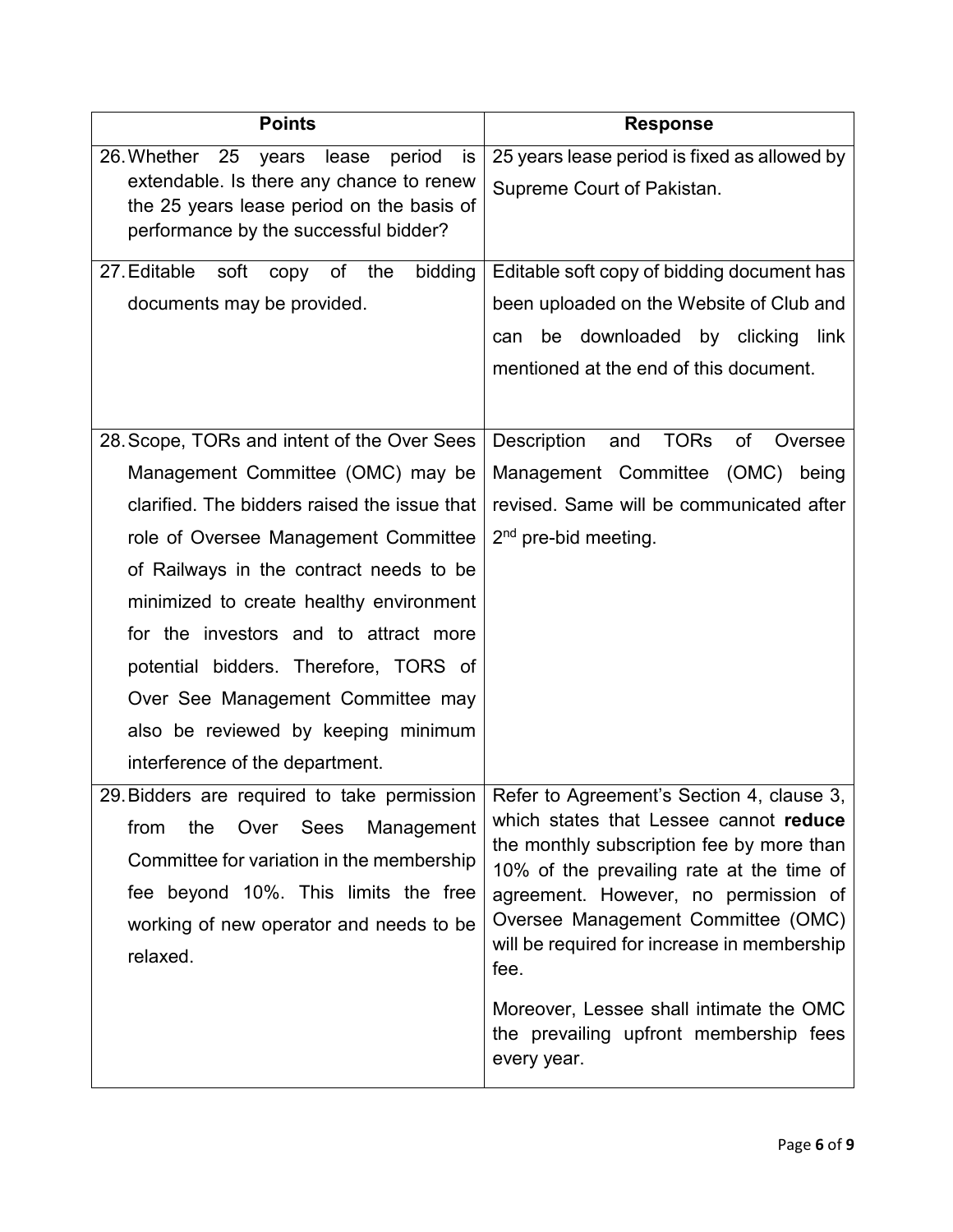| <b>Points</b>                                                                                                                                                                                                                                                                                                                                                                                                                                                   | <b>Response</b>                                                                                                                                                                                                                                                                                                                                                                                                        |
|-----------------------------------------------------------------------------------------------------------------------------------------------------------------------------------------------------------------------------------------------------------------------------------------------------------------------------------------------------------------------------------------------------------------------------------------------------------------|------------------------------------------------------------------------------------------------------------------------------------------------------------------------------------------------------------------------------------------------------------------------------------------------------------------------------------------------------------------------------------------------------------------------|
| - 25<br>26. Whether<br>period<br>is<br>years<br>lease<br>extendable. Is there any chance to renew<br>the 25 years lease period on the basis of<br>performance by the successful bidder?                                                                                                                                                                                                                                                                         | 25 years lease period is fixed as allowed by<br>Supreme Court of Pakistan.                                                                                                                                                                                                                                                                                                                                             |
| 27. Editable<br>soft<br>bidding<br>copy of the<br>documents may be provided.                                                                                                                                                                                                                                                                                                                                                                                    | Editable soft copy of bidding document has<br>been uploaded on the Website of Club and<br>be downloaded by clicking link<br>can<br>mentioned at the end of this document.                                                                                                                                                                                                                                              |
| 28. Scope, TORs and intent of the Over Sees<br>Management Committee (OMC) may be<br>clarified. The bidders raised the issue that<br>role of Oversee Management Committee<br>of Railways in the contract needs to be<br>minimized to create healthy environment<br>for the investors and to attract more<br>potential bidders. Therefore, TORS of<br>Over See Management Committee may<br>also be reviewed by keeping minimum<br>interference of the department. | Description<br><b>TORs</b><br>of<br>and<br>Oversee<br>Management Committee (OMC)<br>being<br>revised. Same will be communicated after<br>2 <sup>nd</sup> pre-bid meeting.                                                                                                                                                                                                                                              |
| 29. Bidders are required to take permission<br>Management<br>from<br>the<br>Over<br>Sees<br>Committee for variation in the membership<br>fee beyond 10%. This limits the free<br>working of new operator and needs to be<br>relaxed.                                                                                                                                                                                                                            | Refer to Agreement's Section 4, clause 3,<br>which states that Lessee cannot reduce<br>the monthly subscription fee by more than<br>10% of the prevailing rate at the time of<br>agreement. However, no permission of<br>Oversee Management Committee (OMC)<br>will be required for increase in membership<br>fee.<br>Moreover, Lessee shall intimate the OMC<br>the prevailing upfront membership fees<br>every year. |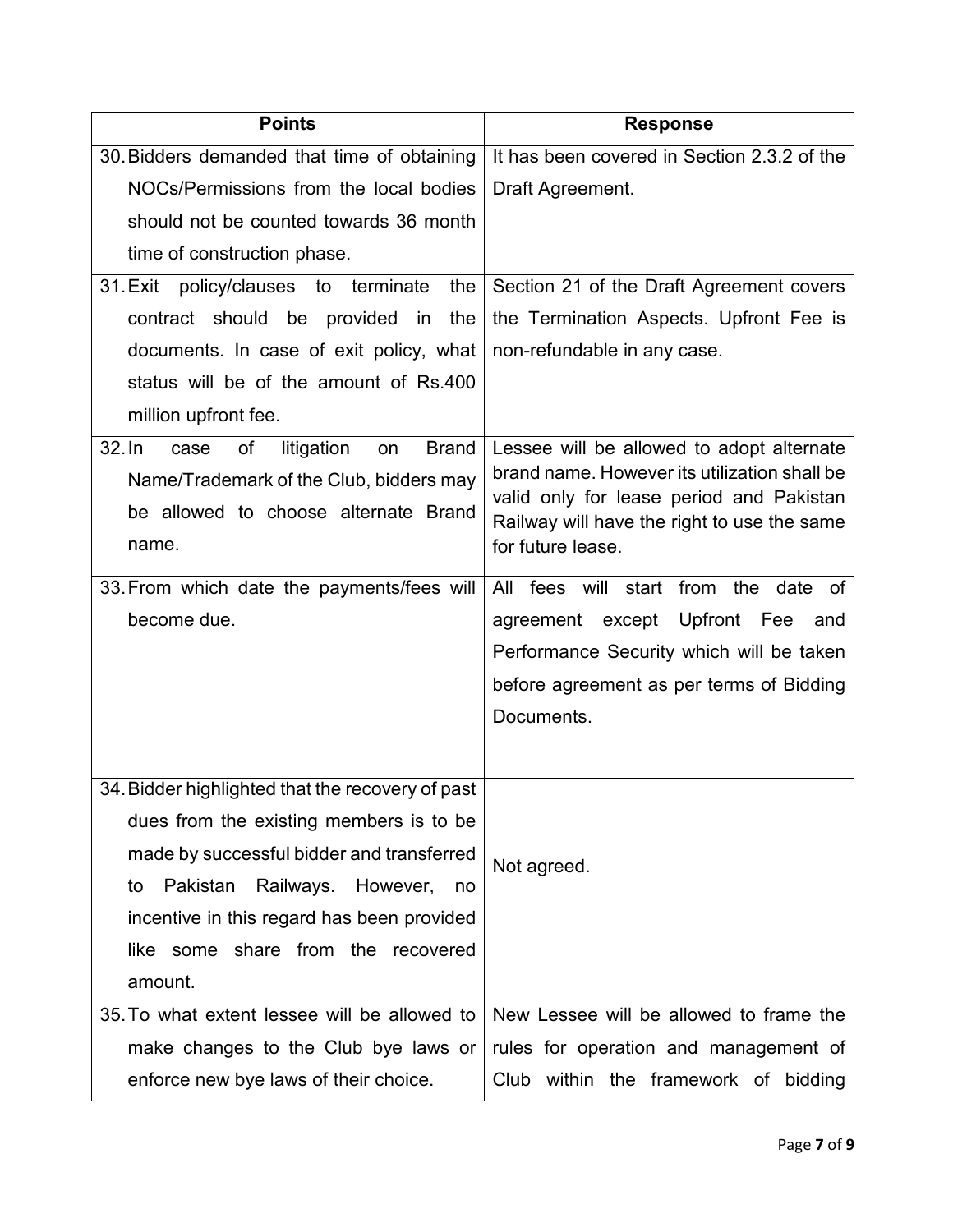| <b>Points</b>                                                                                                                                          | <b>Response</b>                                                                                                                                                                                           |
|--------------------------------------------------------------------------------------------------------------------------------------------------------|-----------------------------------------------------------------------------------------------------------------------------------------------------------------------------------------------------------|
| 30. Bidders demanded that time of obtaining                                                                                                            | It has been covered in Section 2.3.2 of the                                                                                                                                                               |
| NOCs/Permissions from the local bodies                                                                                                                 | Draft Agreement.                                                                                                                                                                                          |
| should not be counted towards 36 month                                                                                                                 |                                                                                                                                                                                                           |
| time of construction phase.                                                                                                                            |                                                                                                                                                                                                           |
| 31. Exit policy/clauses to terminate<br>the                                                                                                            | Section 21 of the Draft Agreement covers                                                                                                                                                                  |
| contract should be provided in the                                                                                                                     | the Termination Aspects. Upfront Fee is                                                                                                                                                                   |
| documents. In case of exit policy, what                                                                                                                | non-refundable in any case.                                                                                                                                                                               |
| status will be of the amount of Rs.400                                                                                                                 |                                                                                                                                                                                                           |
| million upfront fee.                                                                                                                                   |                                                                                                                                                                                                           |
| $32.$ In<br>of<br>litigation<br><b>Brand</b><br>case<br>on<br>Name/Trademark of the Club, bidders may<br>be allowed to choose alternate Brand<br>name. | Lessee will be allowed to adopt alternate<br>brand name. However its utilization shall be<br>valid only for lease period and Pakistan<br>Railway will have the right to use the same<br>for future lease. |
| 33. From which date the payments/fees will                                                                                                             | All fees will start from the date of                                                                                                                                                                      |
| become due.                                                                                                                                            | agreement except Upfront Fee<br>and                                                                                                                                                                       |
|                                                                                                                                                        | Performance Security which will be taken                                                                                                                                                                  |
|                                                                                                                                                        | before agreement as per terms of Bidding                                                                                                                                                                  |
|                                                                                                                                                        | Documents.                                                                                                                                                                                                |
|                                                                                                                                                        |                                                                                                                                                                                                           |
| 34. Bidder highlighted that the recovery of past                                                                                                       |                                                                                                                                                                                                           |
| dues from the existing members is to be                                                                                                                |                                                                                                                                                                                                           |
| made by successful bidder and transferred                                                                                                              | Not agreed.                                                                                                                                                                                               |
| Pakistan Railways.<br>However,<br>to<br>no                                                                                                             |                                                                                                                                                                                                           |
| incentive in this regard has been provided                                                                                                             |                                                                                                                                                                                                           |
| like some share from the recovered                                                                                                                     |                                                                                                                                                                                                           |
| amount.                                                                                                                                                |                                                                                                                                                                                                           |
| 35. To what extent lessee will be allowed to                                                                                                           | New Lessee will be allowed to frame the                                                                                                                                                                   |
| make changes to the Club bye laws or                                                                                                                   | rules for operation and management of                                                                                                                                                                     |
| enforce new bye laws of their choice.                                                                                                                  | Club within the framework of bidding                                                                                                                                                                      |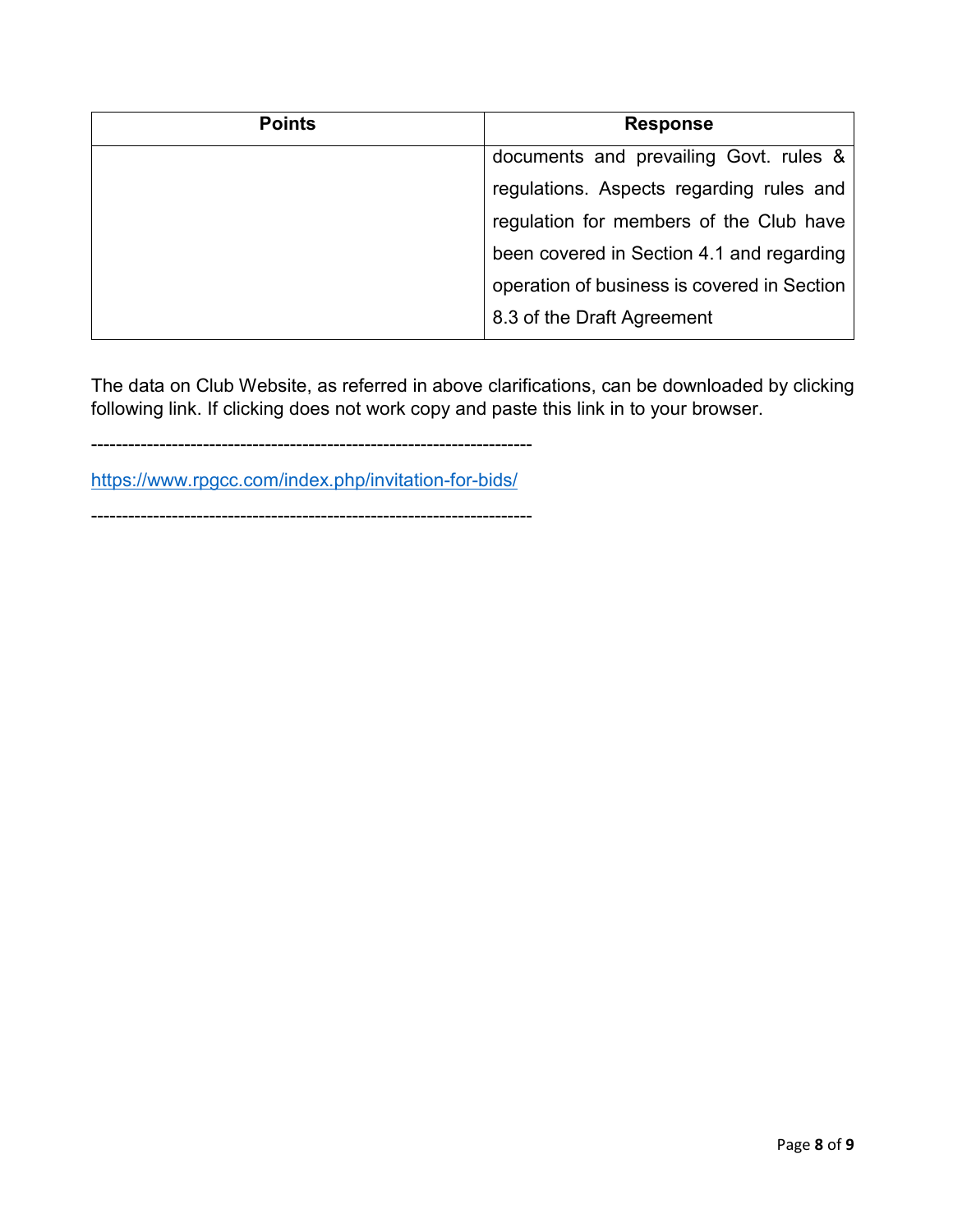| <b>Points</b> | <b>Response</b>                             |
|---------------|---------------------------------------------|
|               | documents and prevailing Govt. rules &      |
|               | regulations. Aspects regarding rules and    |
|               | regulation for members of the Club have     |
|               | been covered in Section 4.1 and regarding   |
|               | operation of business is covered in Section |
|               | 8.3 of the Draft Agreement                  |

The data on Club Website, as referred in above clarifications, can be downloaded by clicking following link. If clicking does not work copy and paste this link in to your browser.

-----------------------------------------------------------------------

https://www.rpgcc.com/index.php/invitation-for-bids/

-----------------------------------------------------------------------